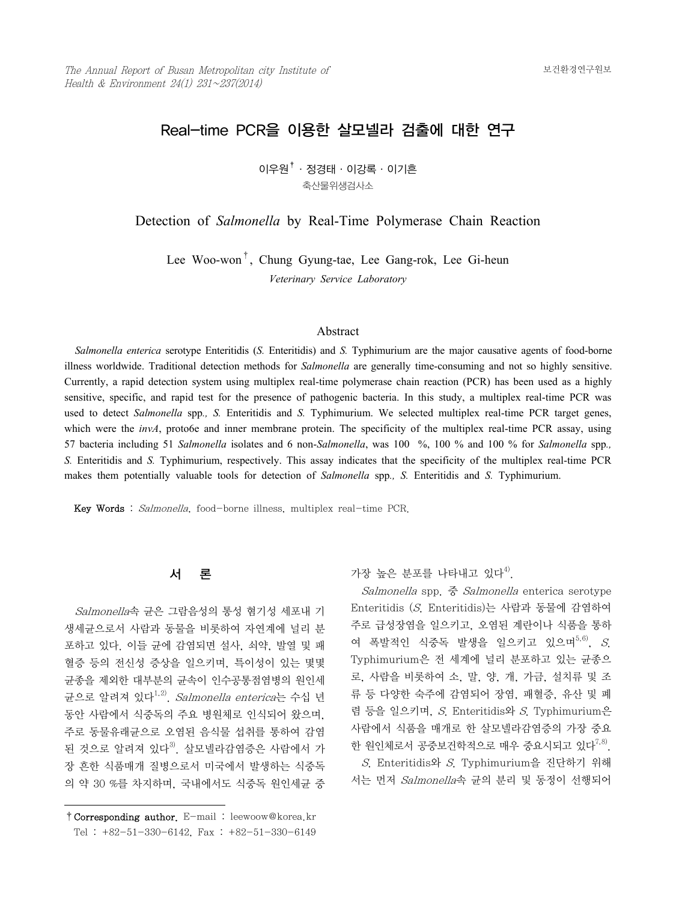# Real-time PCR을 이용한 살모넬라 검출에 대한 연구

 $0$ 우원 $^{\dagger}$  · 정경태 · 이강록 · 이기흔 축산물위생검사소

Detection of *Salmonella* by Real-Time Polymerase Chain Reaction

Lee Woo-won†, Chung Gyung-tae, Lee Gang-rok, Lee Gi-heun *Veterinary Service Laboratory*

#### Abstract

 *Salmonella enterica* serotype Enteritidis (*S.* Enteritidis) and *S.* Typhimurium are the major causative agents of food-borne illness worldwide. Traditional detection methods for *Salmonella* are generally time-consuming and not so highly sensitive. Currently, a rapid detection system using multiplex real-time polymerase chain reaction (PCR) has been used as a highly sensitive, specific, and rapid test for the presence of pathogenic bacteria. In this study, a multiplex real-time PCR was used to detect *Salmonella* spp., *S.* Enteritidis and *S.* Typhimurium. We selected multiplex real-time PCR target genes, which were the *invA*, proto6e and inner membrane protein. The specificity of the multiplex real-time PCR assay, using 57 bacteria including 51 *Salmonella* isolates and 6 non-*Salmonella*, was 100 %, 100 % and 100 % for *Salmonella* spp*., S.* Enteritidis and *S.* Typhimurium, respectively. This assay indicates that the specificity of the multiplex real-time PCR makes them potentially valuable tools for detection of *Salmonella* spp*., S.* Enteritidis and *S.* Typhimurium.

Key Words : Salmonella, food-borne illness, multiplex real-time PCR.

## 서 론

 Salmonella속 균은 그람음성의 통성 혐기성 세포내 기 생세균으로서 사람과 동물을 비롯하여 자연계에 널리 분 포하고 있다. 이들 균에 감염되면 설사, 쇠약, 발열 및 패 혈증 등의 전신성 증상을 일으키며, 특이성이 있는 몇몇 균종을 제외한 대부분의 균속이 인수공통점염병의 원인세 균으로 알려져 있다<sup>1,2)</sup>. *Salmonella enterica*는 수십 년 동안 사람에서 식중독의 주요 병원체로 인식되어 왔으며, 주로 동물유래균으로 오염된 음식물 섭취를 통하여 감염 된 것으로 알려져 있다 $^{3)}$ . 살모넬라감염증은 사람에서 가 장 흔한 식품매개 질병으로서 미국에서 발생하는 식중독 의 약 30 %를 차지하며, 국내에서도 식중독 원인세균 중

## 가장 높은 부포를 나타내고 있다<sup>4)</sup>.

 Salmonella spp. 중 Salmonella enterica serotype Enteritidis (S. Enteritidis)는 사람과 동물에 감염하여 주로 급성장염을 일으키고, 오염된 계란이나 식품을 통하 여 폭발적인 식중독 발생을 일으키고 있으며 $^{5,6)}$ , S. Typhimurium은 전 세계에 널리 분포하고 있는 균종으 로, 사람을 비롯하여 소, 말, 양, 개, 가금, 설치류 및 조 류 등 다양한 숙주에 감염되어 장염, 패혈증, 유산 및 폐 렴 등을 일으키며, S. Enteritidis와 S. Typhimurium은 사람에서 식품을 매개로 한 살모넬라감염증의 가장 중요 한 원인체로서 공중보건학적으로 매우 중요시되고 있다<sup>7,8)</sup>.

 S. Enteritidis와 S. Typhimurium을 진단하기 위해 서는 먼저 Salmonella속 균의 분리 및 동정이 선행되어

<sup>†</sup>Corresponding author. E-mail : leewoow@korea.kr Tel : +82-51-330-6142, Fax : +82-51-330-6149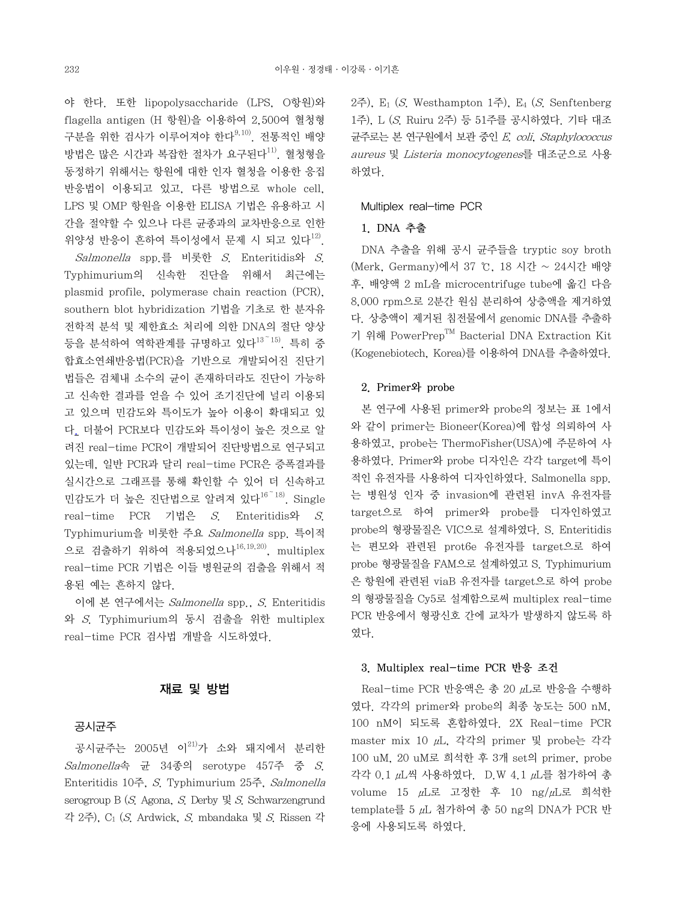야 한다. 또한 lipopolysaccharide (LPS, O항원)와 flagella antigen (H 항원)을 이용하여 2,500여 혈청형 구분을 위한 검사가 이루어져야 한다9,10). 전통적인 배양 방법은 많은 시간과 복잡한 절차가 요구된다<sup>11)</sup>. 혈청형을 동정하기 위해서는 항원에 대한 인자 혈청을 이용한 응집 반응법이 이용되고 있고, 다른 방법으로 whole cell, LPS 및 OMP 항원을 이용한 ELISA 기법은 유용하고 시 간을 절약할 수 있으나 다른 균종과의 교차반응으로 인한 위양성 반응이 흔하여 특이성에서 문제 시 되고 있다<sup>12)</sup>.

 Salmonella spp.를 비롯한 S. Enteritidis와 S. Typhimurium의 신속한 진단을 위해서 최근에는 plasmid profile, polymerase chain reaction (PCR), southern blot hybridization 기법을 기초로 한 분자유 전학적 분석 및 제한효소 처리에 의한 DNA의 절단 양상 등을 분석하여 역학관계를 규명하고 있다<sup>13~15)</sup>. 특히 중 합효소연쇄반응법(PCR)을 기반으로 개발되어진 진단기 법들은 검체내 소수의 균이 존재하더라도 진단이 가능하 고 신속한 결과를 얻을 수 있어 조기진단에 널리 이용되 고 있으며 민감도와 특이도가 높아 이용이 확대되고 있 다. 더불어 PCR보다 민감도와 특이성이 높은 것으로 알 려진 real-time PCR이 개발되어 진단방법으로 연구되고 있는데, 일반 PCR과 달리 real-time PCR은 증폭결과를 실시간으로 그래프를 통해 확인할 수 있어 더 신속하고 민감도가 더 높은 진단법으로 알려져 있다16~18). Single real-time PCR 기법은 S. Enteritidis와 S. Typhimurium을 비롯한 주요 Salmonella spp. 특이적 으로 검출하기 위하여 적용되었으나 $^{16,19,20)}$ , multiplex real-time PCR 기법은 이들 병원균의 검출을 위해서 적 용된 예는 흔하지 않다.

 이에 본 연구에서는 Salmonella spp., S. Enteritidis 와 S. Typhimurium의 동시 검출을 위한 multiplex real-time PCR 검사법 개발을 시도하였다.

## 재료 및 방법

#### 공시균주

공시균주는 2005년 이<sup>21)</sup>가 소와 돼지에서 분리한 Salmonella속 균 34종의 serotype 457주 중 S. Enteritidis 10주, S. Typhimurium 25주, Salmonella serogroup B (S. Agona, S. Derby  $\mathbb{R}$  S. Schwarzengrund 각 2주), C1 (S. Ardwick, S. mbandaka 및 S. Rissen 각 2주), E1 (S. Westhampton 1주), E4 (S. Senftenberg 1주), L (S. Ruiru 2주) 등 51주를 공시하였다. 기타 대조 균주로는 본 연구원에서 보관 중인 E. coli, Staphylococcus aureus 및 Listeria monocytogenes를 대조군으로 사용 하였다.

#### Multiplex real-time PCR

## 1. DNA 추출

 DNA 추출을 위해 공시 균주들을 tryptic soy broth (Merk, Germany)에서 37 ℃, 18 시간 ~ 24시간 배양 후, 배양액 2 mL을 microcentrifuge tube에 옮긴 다음 8,000 rpm으로 2분간 원심 분리하여 상층액을 제거하였 다. 상층액이 제거된 침전물에서 genomic DNA를 추출하 기 위해 PowerPrepTM Bacterial DNA Extraction Kit (Kogenebiotech, Korea)를 이용하여 DNA를 추출하였다.

#### 2. Primer와 probe

 본 연구에 사용된 primer와 probe의 정보는 표 1에서 와 같이 primer는 Bioneer(Korea)에 합성 의뢰하여 사 용하였고, probe는 ThermoFisher(USA)에 주문하여 사 용하였다. Primer와 probe 디자인은 각각 target에 특이 적인 유전자를 사용하여 디자인하였다. Salmonella spp. 는 병원성 인자 중 invasion에 관련된 invA 유전자를 target으로 하여 primer와 probe를 디자인하였고 probe의 형광물질은 VIC으로 설계하였다. S. Enteritidis 는 편모와 관련된 prot6e 유전자를 target으로 하여 probe 형광물질을 FAM으로 설계하였고 S. Typhimurium 은 항원에 관련된 viaB 유전자를 target으로 하여 probe 의 형광물질을 Cy5로 설계함으로써 multiplex real-time PCR 반응에서 형광신호 간에 교차가 발생하지 않도록 하 였다.

#### 3. Multiplex real-time PCR 반응 조건

 Real-time PCR 반응액은 총 20 μL로 반응을 수행하 였다. 각각의 primer와 probe의 최종 농도는 500 nM, 100 nM이 되도록 혼합하였다. 2X Real-time PCR master mix 10 μL, 각각의 primer 및 probe는 각각 100 uM, 20 uM로 희석한 후 3개 set의 primer, probe 각각 0.1 μL씩 사용하였다. D.W 4.1 μL를 첨가하여 총 volume 15 μL로 고정한 후 10 ng/μL로 희석한 template를 5 μL 첨가하여 총 50 ng의 DNA가 PCR 반 응에 사용되도록 하였다.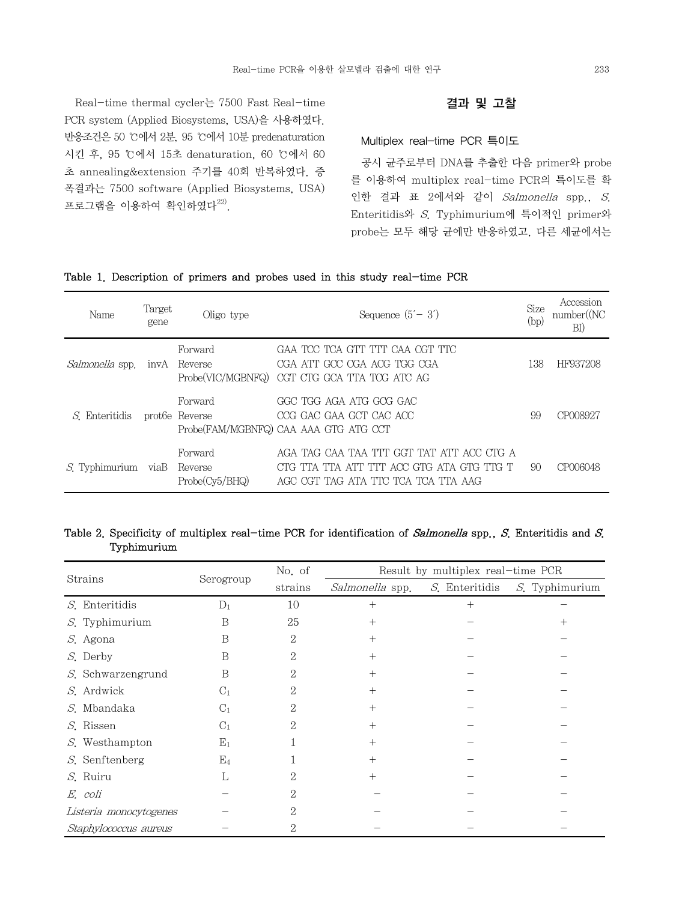Real-time thermal cycler는 7500 Fast Real-time PCR system (Applied Biosystems, USA)을 사용하였다. 반응조건은 50 ℃에서 2분, 95 ℃에서 10분 predenaturation 시킨 후, 95 ℃에서 15초 denaturation, 60 ℃에서 60 초 annealing&extension 주기를 40회 반복하였다. 증 폭결과는 7500 software (Applied Biosystems, USA) 프로그램을 이용하여 확인하였다 $^{22)}$ .

## 결과 및 고찰

#### Multiplex real-time PCR 특이도

 공시 균주로부터 DNA를 추출한 다음 primer와 probe 를 이용하여 multiplex real-time PCR의 특이도를 확 인한 결과 표 2에서와 같이 Salmonella spp., S. Enteritidis와 S. Typhimurium에 특이적인 primer와 probe는 모두 해당 균에만 반응하였고, 다른 세균에서는

## Table 1. Description of primers and probes used in this study real-time PCR

| Name                   | Target<br>gene | Oligo type                           | Sequence $(5' - 3')$                                                                                                          | Size<br>(bp) | Accession<br>number(NC)<br>BI) |
|------------------------|----------------|--------------------------------------|-------------------------------------------------------------------------------------------------------------------------------|--------------|--------------------------------|
| <i>Salmonella</i> spp. | invA           | Forward<br>Reverse                   | GAA TCC TCA GTT TIT CAA CGT TTC<br>CGA ATT GCC CGA ACG TGG CGA<br>Probe(VIC/MGBNFQ) CGT CTG GCA TTA TCG ATC AG                | 138          | HF937208                       |
| <i>S</i> . Enteritidis |                | Forward<br>prot <sub>6</sub> Reverse | GGC TGG AGA ATG GCG GAC<br>CCG GAC GAA GCT CAC ACC<br>Probe(FAM/MGBNFQ) CAA AAA GTG ATG CCT                                   | 99           | CP008927                       |
| $S$ . Typhimurium      | viaB           | Forward<br>Reverse<br>Probe(Cv5/BHQ) | AGA TAG CAA TAA TIT GGT TAT ATT ACC CIG A<br>CTG TTA TTA ATT TTT ACC GTG ATA GTG TTG T<br>AGC CGT TAG ATA TTC TCA TCA TTA AAG | 90           | CP006048                       |

## Table 2. Specificity of multiplex real-time PCR for identification of Salmonella spp., S. Enteritidis and S. Typhimurium

|                           | Serogroup      | No. of         | Result by multiplex real-time PCR |                |                |  |
|---------------------------|----------------|----------------|-----------------------------------|----------------|----------------|--|
| Strains                   |                | strains        | Salmonella spp.                   | S. Enteritidis | S. Typhimurium |  |
| $S$ . Enteritidis         | $D_1$          | 10             | $^+$                              | ┿              |                |  |
| S. Typhimurium            | B              | 25             | $^+$                              |                | $^+$           |  |
| S. Agona                  | B              | $\overline{2}$ | $^{+}$                            |                |                |  |
| S. Derby                  | B              | 2              | $^{+}$                            |                |                |  |
| <i>S</i> . Schwarzengrund | B              | 2              | $^{+}$                            |                |                |  |
| S. Ardwick                | $C_1$          | 2              | $^{+}$                            |                |                |  |
| S. Mbandaka               | C <sub>1</sub> | 2              | $^{+}$                            |                |                |  |
| S. Rissen                 | $C_1$          | 2              | $^+$                              |                |                |  |
| S. Westhampton            | $E_1$          |                | $^{+}$                            |                |                |  |
| $S$ . Senftenberg         | E <sub>4</sub> |                | $^{+}$                            |                |                |  |
| S. Ruiru                  | L              | 2              | $^+$                              |                |                |  |
| E. coli                   |                | 2              |                                   |                |                |  |
| Listeria monocytogenes    |                | 2              |                                   |                |                |  |
| Staphylococcus aureus     |                | 2              |                                   |                |                |  |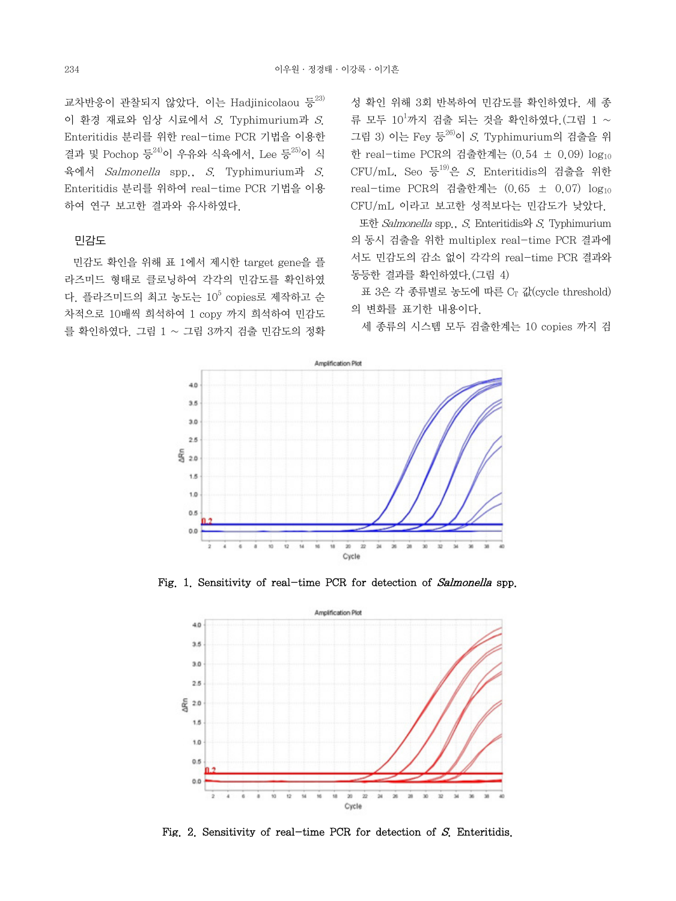교차반응이 관찰되지 않았다. 이는 Hadjinicolaou 등 $^{23}$ 이 환경 재료와 임상 시료에서 S. Typhimurium과 S. Enteritidis 분리를 위한 real-time PCR 기법을 이용한 결과 및 Pochop 등 24)이 우유와 식육에서, Lee 등 25)이 식 육에서 Salmonella spp., S. Typhimurium과 S. Enteritidis 분리를 위하여 real-time PCR 기법을 이용 하여 연구 보고한 결과와 유사하였다.

#### 민감도

 민감도 확인을 위해 표 1에서 제시한 target gene을 플 라즈미드 형태로 클로닝하여 각각의 민감도를 확인하였 다. 플라즈미드의 최고 농도는  $10^5$  copies로 제작하고 수 차적으로 10배씩 희석하여 1 copy 까지 희석하여 민감도 를 확인하였다. 그림 1 ~ 그림 3까지 검출 민감도의 정확 성 확인 위해 3회 반복하여 민감도를 확인하였다. 세 종 류 모두  $10^1$ 까지 검출 되는 것을 확인하였다.(그림 1 ~ 그림 3) 이는 Fey 등 $^{26}$ 이 S. Typhimurium의 검출을 위 한 real-time PCR의 검출한계는 (0.54 ± 0.09) log10 CFU/mL, Seo 등 $^{19}$ 은 S. Enteritidis의 검출을 위한 real-time PCR의 검출한계는 (0.65 ± 0.07) log10 CFU/mL 이라고 보고한 성적보다는 민감도가 낮았다.

 또한 Salmonella spp., S. Enteritidis와 S. Typhimurium 의 동시 검출을 위한 multiplex real-time PCR 결과에 서도 민감도의 감소 없이 각각의 real-time PCR 결과와 동등한 결과를 확인하였다.(그림 4)

표 3은 각 종류별로 농도에 따른 CT 값(cycle threshold) 의 변화를 표기한 내용이다.

세 종류의 시스템 모두 검출한계는 10 copies 까지 검



Fig. 1. Sensitivity of real-time PCR for detection of Salmonella spp.



Fig. 2. Sensitivity of real-time PCR for detection of S. Enteritidis.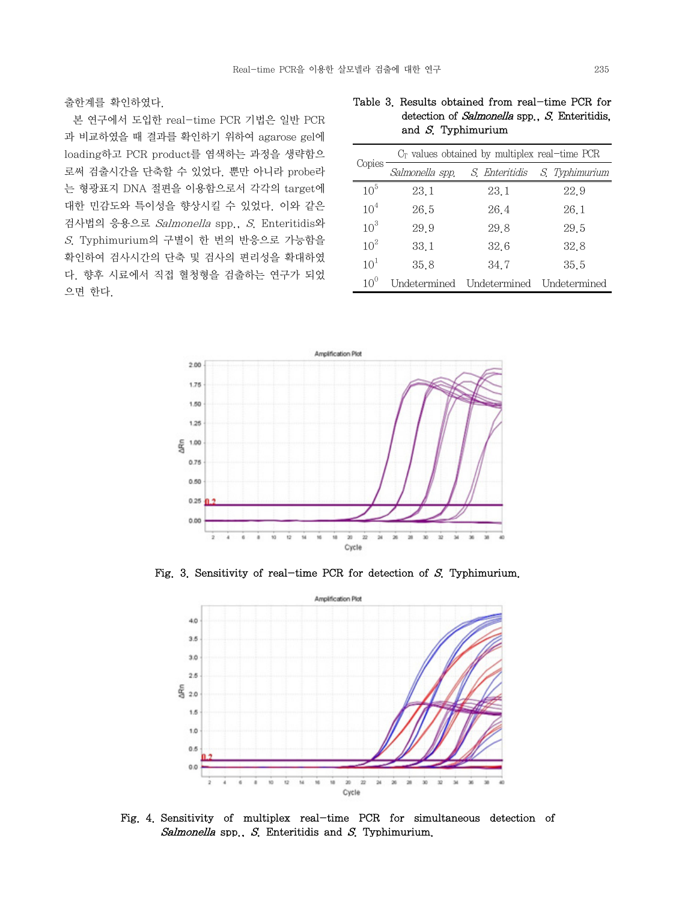출한계를 확인하였다.

 본 연구에서 도입한 real-time PCR 기법은 일반 PCR 과 비교하였을 때 결과를 확인하기 위하여 agarose gel에 loading하고 PCR product를 염색하는 과정을 생략함으 로써 검출시간을 단축할 수 있었다. 뿐만 아니라 probe라 는 형광표지 DNA 절편을 이용함으로서 각각의 target에 대한 민감도와 특이성을 향상시킬 수 있었다. 이와 같은 검사법의 응용으로 Salmonella spp., S. Enteritidis와 S. Typhimurium의 구별이 한 번의 반응으로 가능함을 확인하여 검사시간의 단축 및 검사의 편리성을 확대하였 다. 향후 시료에서 직접 혈청형을 검출하는 연구가 되었 으면 한다.

| detection of <i>Salmonella</i> spp., <i>S</i> . Enteritidis,<br>and $S$ . Typhimurium |
|---------------------------------------------------------------------------------------|
| $C_{\mathbb{F}}$ values obtained by multiplex real-time $PCR$                         |

Table 3. Results obtained from real-time PCR for

| Copies          | $C_{\Gamma}$ values obtained by multiplex real-time PCR |                |                |  |  |  |
|-----------------|---------------------------------------------------------|----------------|----------------|--|--|--|
|                 | Salmonella spp.                                         | S. Enteritidis | S. Typhimurium |  |  |  |
| 10 <sup>5</sup> | 23.1                                                    | 23.1           | 22.9           |  |  |  |
| 10 <sup>4</sup> | 26.5                                                    | 26.4           | 26.1           |  |  |  |
| 10 <sup>3</sup> | 29.9                                                    | 29.8           | 29.5           |  |  |  |
| 10 <sup>2</sup> | 33.1                                                    | 32.6           | 32.8           |  |  |  |
| 10 <sup>1</sup> | 35.8                                                    | 34.7           | 35.5           |  |  |  |
| 10 <sup>0</sup> | Undetermined                                            | Undetermined   | Undetermined   |  |  |  |



Fig. 3. Sensitivity of real-time PCR for detection of S. Typhimurium.



Fig. 4. Sensitivity of multiplex real-time PCR for simultaneous detection of Salmonella spp.,  $S$ . Enteritidis and  $S$ . Typhimurium.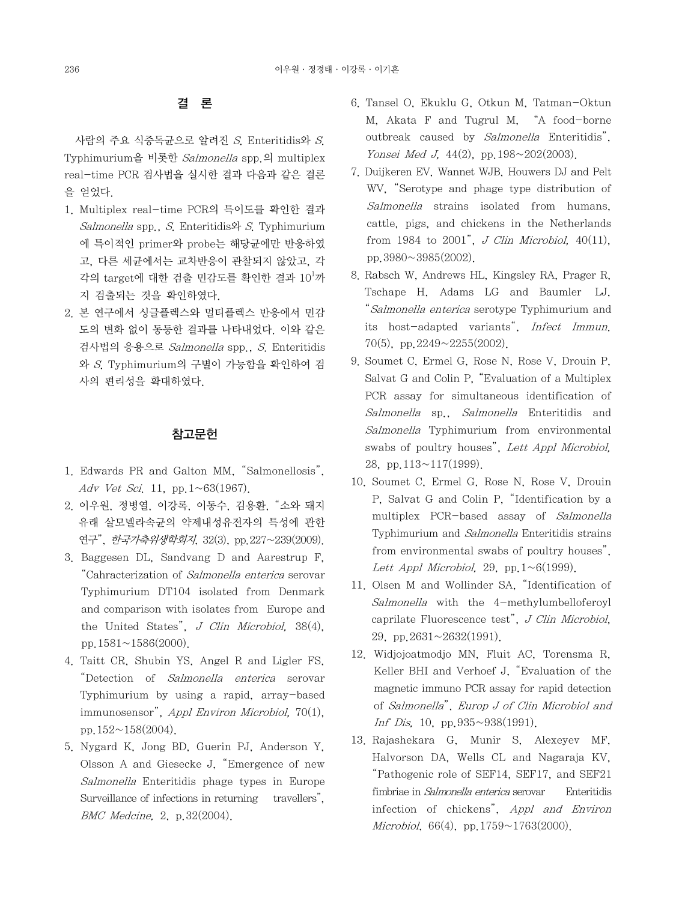# 결 론

 사람의 주요 식중독균으로 알려진 S. Enteritidis와 S. Typhimurium을 비롯한 Salmonella spp.의 multiplex real-time PCR 검사법을 실시한 결과 다음과 같은 결론 을 얻었다.

- 1. Multiplex real-time PCR의 특이도를 확인한 결과  $Salmonella$  spp.,  $S$ . Enteritidis $\mathfrak{D}$ ,  $S$ . Typhimurium 에 특이적인 primer와 probe는 해당균에만 반응하였 고, 다른 세균에서는 교차반응이 관찰되지 않았고, 각 각의 target에 대한 검출 민감도를 확인한 결과  $10^{\rm l}$ 까 지 검출되는 것을 확인하였다.
- 2. 본 연구에서 싱글플렉스와 멀티플렉스 반응에서 민감 도의 변화 없이 동등한 결과를 나타내었다. 이와 같은 검사법의 응용으로 Salmonella spp., S. Enteritidis 와 S. Typhimurium의 구별이 가능함을 확인하여 검 사의 편리성을 확대하였다.

## 참고문헌

- 1. Edwards PR and Galton MM, "Salmonellosis", Adv Vet Sci. 11, pp.  $1 \sim 63(1967)$ .
- 2. 이우원, 정병열, 이강록, 이동수, 김용환, "소와 돼지 유래 살모넬라속균의 약제내성유전자의 특성에 관한 연구", *한국가축위생학회지*, 32(3), pp. 227~239(2009).
- 3. Baggesen DL, Sandvang D and Aarestrup F, "Cahracterization of Salmonella enterica serovar Typhimurium DT104 isolated from Denmark and comparison with isolates from Europe and the United States",  $J$  Clin Microbiol, 38(4), pp.  $1581 \sim 1586(2000)$ .
- 4. Taitt CR, Shubin YS, Angel R and Ligler FS, "Detection of Salmonella enterica serovar Typhimurium by using a rapid, array-based immunosensor", Appl Environ Microbiol, 70(1), pp.  $152 \sim 158(2004)$ .
- 5. Nygard K, Jong BD, Guerin PJ, Anderson Y, Olsson A and Giesecke J, "Emergence of new Salmonella Enteritidis phage types in Europe Surveillance of infections in returning travellers". BMC Medcine, 2, p.32(2004).
- 6. Tansel O, Ekuklu G, Otkun M, Tatman-Oktun M, Akata F and Tugrul M, "A food-borne outbreak caused by Salmonella Enteritidis", Yonsei Med J. 44(2), pp. 198~202(2003).
- 7. Duijkeren EV, Wannet WJB, Houwers DJ and Pelt WV, "Serotype and phage type distribution of Salmonella strains isolated from humans, cattle, pigs, and chickens in the Netherlands from 1984 to 2001", J Clin Microbiol,  $40(11)$ , pp.3980~3985(2002).
- 8. Rabsch W, Andrews HL, Kingsley RA, Prager R, Tschape H, Adams LG and Baumler LJ, "Salmonella enterica serotype Typhimurium and its host-adapted variants", Infect Immun. 70(5), pp.2249~2255(2002).
- 9. Soumet C, Ermel G, Rose N, Rose V, Drouin P, Salvat G and Colin P, "Evaluation of a Multiplex PCR assay for simultaneous identification of Salmonella sp., Salmonella Enteritidis and Salmonella Typhimurium from environmental swabs of poultry houses", Lett Appl Microbiol, 28, pp.113~117(1999).
- 10. Soumet C, Ermel G, Rose N, Rose V, Drouin P, Salvat G and Colin P, "Identification by a multiplex PCR-based assay of Salmonella Typhimurium and Salmonella Enteritidis strains from environmental swabs of poultry houses", Lett Appl Microbiol, 29, pp.  $1~1~6(1999)$ .
- 11. Olsen M and Wollinder SA, "Identification of Salmonella with the 4-methylumbelloferoyl caprilate Fluorescence test", J Clin Microbiol, 29. pp.  $2631 \sim 2632(1991)$ .
- 12. Widjojoatmodjo MN, Fluit AC, Torensma R, Keller BHI and Verhoef J, "Evaluation of the magnetic immuno PCR assay for rapid detection of Salmonella", Europ J of Clin Microbiol and Inf Dis, 10, pp.935~938(1991).
- 13. Rajashekara G, Munir S, Alexeyev MF, Halvorson DA, Wells CL and Nagaraja KV, "Pathogenic role of SEF14, SEF17, and SEF21 fimbriae in Salmonella enterica serovar Enteritidis infection of chickens", Appl and Environ Microbiol, 66(4), pp. 1759 $\sim$ 1763(2000).